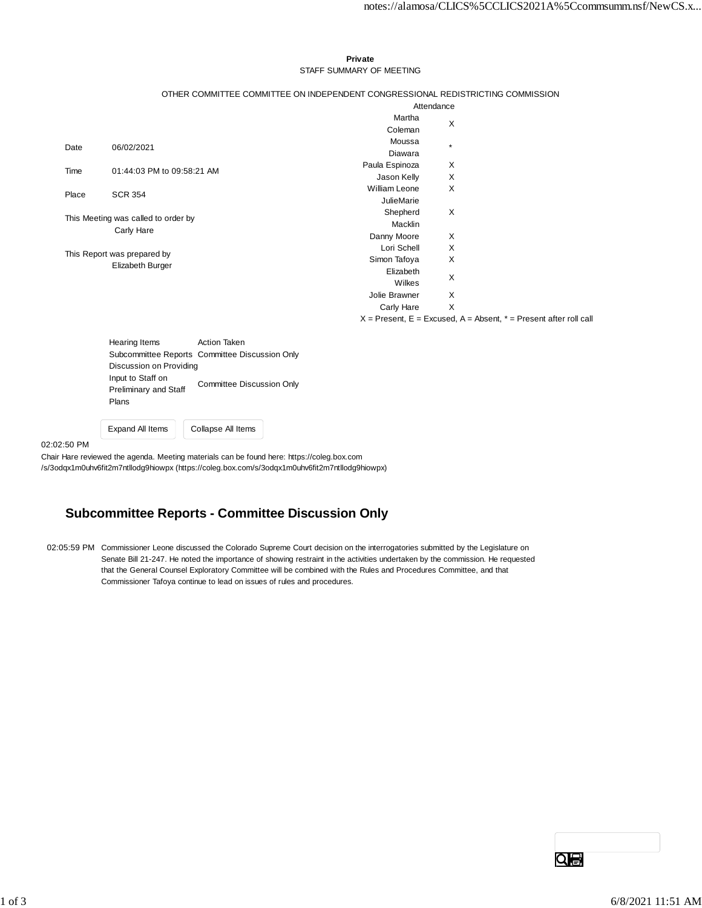#### **Private** STAFF SUMMARY OF MEETING

### OTHER COMMITTEE COMMITTEE ON INDEPENDENT CONGRESSIONAL REDISTRICTING COMMISSION

|                                                   |                            | Attendance           |         |  |
|---------------------------------------------------|----------------------------|----------------------|---------|--|
|                                                   |                            | Martha               | X       |  |
|                                                   |                            | Coleman              |         |  |
| Date                                              | 06/02/2021                 | Moussa               | $\star$ |  |
|                                                   |                            | Diawara              |         |  |
| Time                                              | 01:44:03 PM to 09:58:21 AM | Paula Espinoza       | X       |  |
|                                                   |                            | Jason Kelly          | X       |  |
| Place                                             | <b>SCR 354</b>             | <b>William Leone</b> | X       |  |
|                                                   |                            | <b>JulieMarie</b>    |         |  |
| This Meeting was called to order by<br>Carly Hare |                            | Shepherd             | X       |  |
|                                                   |                            | Macklin              |         |  |
|                                                   |                            | Danny Moore          | X       |  |
| This Report was prepared by                       |                            | Lori Schell          | X       |  |
|                                                   | Elizabeth Burger           | Simon Tafoya         | X       |  |
|                                                   |                            | Elizabeth            | X       |  |
|                                                   |                            | Wilkes               |         |  |
|                                                   |                            | Jolie Brawner        | X       |  |
|                                                   |                            | Carly Hare           | X       |  |

 $X =$  Present,  $E =$  Excused,  $A =$  Absent,  $* =$  Present after roll call

| <b>Hearing Items</b>         | <b>Action Taken</b>                            |  |  |  |  |  |  |  |
|------------------------------|------------------------------------------------|--|--|--|--|--|--|--|
|                              | Subcommittee Reports Committee Discussion Only |  |  |  |  |  |  |  |
| Discussion on Providing      |                                                |  |  |  |  |  |  |  |
| Input to Staff on            | <b>Committee Discussion Only</b>               |  |  |  |  |  |  |  |
| <b>Preliminary and Staff</b> |                                                |  |  |  |  |  |  |  |
| Plans                        |                                                |  |  |  |  |  |  |  |

Expand All Items | Collapse All Items

02:02:50 PM

Chair Hare reviewed the agenda. Meeting materials can be found here: https://coleg.box.com /s/3odqx1m0uhv6fit2m7ntllodg9hiowpx (https://coleg.box.com/s/3odqx1m0uhv6fit2m7ntllodg9hiowpx)

## **Subcommittee Reports - Committee Discussion Only**

02:05:59 PM Commissioner Leone discussed the Colorado Supreme Court decision on the interrogatories submitted by the Legislature on Senate Bill 21-247. He noted the importance of showing restraint in the activities undertaken by the commission. He requested that the General Counsel Exploratory Committee will be combined with the Rules and Procedures Committee, and that Commissioner Tafoya continue to lead on issues of rules and procedures.

Qe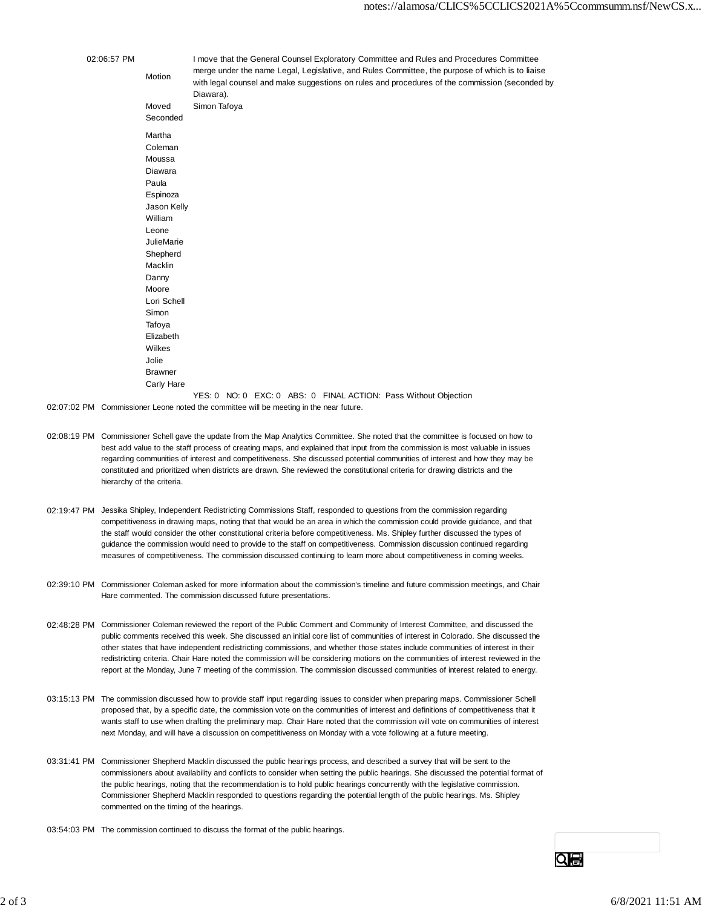| 02:06:57 PM                                                                            | Motion            | Diawara).    |  |  | I move that the General Counsel Exploratory Committee and Rules and Procedures Committee<br>merge under the name Legal, Legislative, and Rules Committee, the purpose of which is to liaise<br>with legal counsel and make suggestions on rules and procedures of the commission (seconded by |  |
|----------------------------------------------------------------------------------------|-------------------|--------------|--|--|-----------------------------------------------------------------------------------------------------------------------------------------------------------------------------------------------------------------------------------------------------------------------------------------------|--|
|                                                                                        | Moved<br>Seconded | Simon Tafoya |  |  |                                                                                                                                                                                                                                                                                               |  |
|                                                                                        |                   |              |  |  |                                                                                                                                                                                                                                                                                               |  |
|                                                                                        | Martha            |              |  |  |                                                                                                                                                                                                                                                                                               |  |
|                                                                                        | Coleman           |              |  |  |                                                                                                                                                                                                                                                                                               |  |
|                                                                                        | Moussa            |              |  |  |                                                                                                                                                                                                                                                                                               |  |
|                                                                                        | Diawara           |              |  |  |                                                                                                                                                                                                                                                                                               |  |
|                                                                                        | Paula             |              |  |  |                                                                                                                                                                                                                                                                                               |  |
|                                                                                        | Espinoza          |              |  |  |                                                                                                                                                                                                                                                                                               |  |
|                                                                                        | Jason Kelly       |              |  |  |                                                                                                                                                                                                                                                                                               |  |
|                                                                                        | William           |              |  |  |                                                                                                                                                                                                                                                                                               |  |
|                                                                                        | Leone             |              |  |  |                                                                                                                                                                                                                                                                                               |  |
|                                                                                        | <b>JulieMarie</b> |              |  |  |                                                                                                                                                                                                                                                                                               |  |
|                                                                                        | Shepherd          |              |  |  |                                                                                                                                                                                                                                                                                               |  |
|                                                                                        | Macklin           |              |  |  |                                                                                                                                                                                                                                                                                               |  |
|                                                                                        | Danny             |              |  |  |                                                                                                                                                                                                                                                                                               |  |
|                                                                                        | Moore             |              |  |  |                                                                                                                                                                                                                                                                                               |  |
|                                                                                        | Lori Schell       |              |  |  |                                                                                                                                                                                                                                                                                               |  |
|                                                                                        | Simon             |              |  |  |                                                                                                                                                                                                                                                                                               |  |
|                                                                                        | Tafoya            |              |  |  |                                                                                                                                                                                                                                                                                               |  |
|                                                                                        | Elizabeth         |              |  |  |                                                                                                                                                                                                                                                                                               |  |
|                                                                                        | Wilkes            |              |  |  |                                                                                                                                                                                                                                                                                               |  |
|                                                                                        | Jolie             |              |  |  |                                                                                                                                                                                                                                                                                               |  |
|                                                                                        | <b>Brawner</b>    |              |  |  |                                                                                                                                                                                                                                                                                               |  |
|                                                                                        | Carly Hare        |              |  |  |                                                                                                                                                                                                                                                                                               |  |
|                                                                                        |                   |              |  |  | YES: 0 NO: 0 EXC: 0 ABS: 0 FINAL ACTION: Pass Without Objection                                                                                                                                                                                                                               |  |
| 02:07:02 PM Commissioner Leone noted the committee will be meeting in the near future. |                   |              |  |  |                                                                                                                                                                                                                                                                                               |  |

- 02:08:19 PM Commissioner Schell gave the update from the Map Analytics Committee. She noted that the committee is focused on how to best add value to the staff process of creating maps, and explained that input from the commission is most valuable in issues regarding communities of interest and competitiveness. She discussed potential communities of interest and how they may be constituted and prioritized when districts are drawn. She reviewed the constitutional criteria for drawing districts and the hierarchy of the criteria.
- 02:19:47 PM Jessika Shipley, Independent Redistricting Commissions Staff, responded to questions from the commission regarding competitiveness in drawing maps, noting that that would be an area in which the commission could provide guidance, and that the staff would consider the other constitutional criteria before competitiveness. Ms. Shipley further discussed the types of guidance the commission would need to provide to the staff on competitiveness. Commission discussion continued regarding measures of competitiveness. The commission discussed continuing to learn more about competitiveness in coming weeks.
- 02:39:10 PM Commissioner Coleman asked for more information about the commission's timeline and future commission meetings, and Chair Hare commented. The commission discussed future presentations.
- 02:48:28 PM Commissioner Coleman reviewed the report of the Public Comment and Community of Interest Committee, and discussed the public comments received this week. She discussed an initial core list of communities of interest in Colorado. She discussed the other states that have independent redistricting commissions, and whether those states include communities of interest in their redistricting criteria. Chair Hare noted the commission will be considering motions on the communities of interest reviewed in the report at the Monday, June 7 meeting of the commission. The commission discussed communities of interest related to energy.
- 03:15:13 PM The commission discussed how to provide staff input regarding issues to consider when preparing maps. Commissioner Schell proposed that, by a specific date, the commission vote on the communities of interest and definitions of competitiveness that it wants staff to use when drafting the preliminary map. Chair Hare noted that the commission will vote on communities of interest next Monday, and will have a discussion on competitiveness on Monday with a vote following at a future meeting.
- 03:31:41 PM Commissioner Shepherd Macklin discussed the public hearings process, and described a survey that will be sent to the commissioners about availability and conflicts to consider when setting the public hearings. She discussed the potential format of the public hearings, noting that the recommendation is to hold public hearings concurrently with the legislative commission. Commissioner Shepherd Macklin responded to questions regarding the potential length of the public hearings. Ms. Shipley commented on the timing of the hearings.
- 03:54:03 PM The commission continued to discuss the format of the public hearings.

Qe